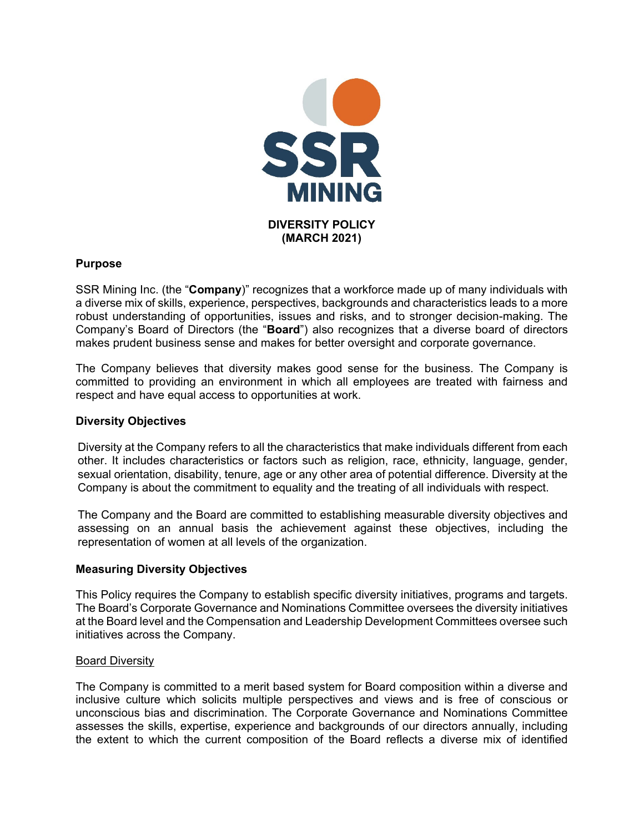

# **Purpose**

SSR Mining Inc. (the "**Company**)" recognizes that a workforce made up of many individuals with a diverse mix of skills, experience, perspectives, backgrounds and characteristics leads to a more robust understanding of opportunities, issues and risks, and to stronger decision-making. The Company's Board of Directors (the "**Board**") also recognizes that a diverse board of directors makes prudent business sense and makes for better oversight and corporate governance.

The Company believes that diversity makes good sense for the business. The Company is committed to providing an environment in which all employees are treated with fairness and respect and have equal access to opportunities at work.

### **Diversity Objectives**

Diversity at the Company refers to all the characteristics that make individuals different from each other. It includes characteristics or factors such as religion, race, ethnicity, language, gender, sexual orientation, disability, tenure, age or any other area of potential difference. Diversity at the Company is about the commitment to equality and the treating of all individuals with respect.

The Company and the Board are committed to establishing measurable diversity objectives and assessing on an annual basis the achievement against these objectives, including the representation of women at all levels of the organization.

# **Measuring Diversity Objectives**

This Policy requires the Company to establish specific diversity initiatives, programs and targets. The Board's Corporate Governance and Nominations Committee oversees the diversity initiatives at the Board level and the Compensation and Leadership Development Committees oversee such initiatives across the Company.

### Board Diversity

The Company is committed to a merit based system for Board composition within a diverse and inclusive culture which solicits multiple perspectives and views and is free of conscious or unconscious bias and discrimination. The Corporate Governance and Nominations Committee assesses the skills, expertise, experience and backgrounds of our directors annually, including the extent to which the current composition of the Board reflects a diverse mix of identified